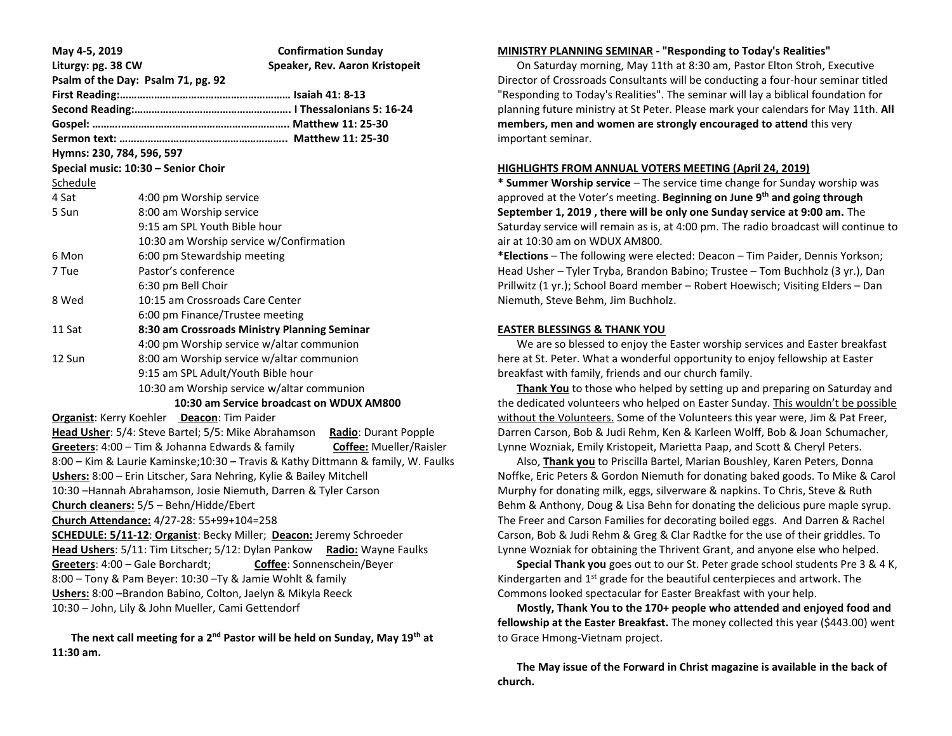| May 4-5, 2019<br>Liturgy: pg. 38 CW                                              |                                                                          | <b>Confirmation Sunday</b><br>Speaker, Rev. Aaron Kristopeit |                         |  |  |
|----------------------------------------------------------------------------------|--------------------------------------------------------------------------|--------------------------------------------------------------|-------------------------|--|--|
|                                                                                  | Psalm of the Day: Psalm 71, pg. 92                                       |                                                              |                         |  |  |
|                                                                                  |                                                                          |                                                              |                         |  |  |
|                                                                                  |                                                                          |                                                              |                         |  |  |
|                                                                                  |                                                                          |                                                              |                         |  |  |
|                                                                                  |                                                                          |                                                              |                         |  |  |
| Hymns: 230, 784, 596, 597                                                        |                                                                          |                                                              |                         |  |  |
|                                                                                  | Special music: 10:30 - Senior Choir                                      |                                                              |                         |  |  |
| Schedule                                                                         |                                                                          |                                                              |                         |  |  |
| 4 Sat                                                                            | 4:00 pm Worship service                                                  |                                                              |                         |  |  |
| 5 Sun                                                                            | 8:00 am Worship service                                                  |                                                              |                         |  |  |
|                                                                                  | 9:15 am SPL Youth Bible hour                                             |                                                              |                         |  |  |
|                                                                                  | 10:30 am Worship service w/Confirmation                                  |                                                              |                         |  |  |
| 6 Mon                                                                            | 6:00 pm Stewardship meeting                                              |                                                              |                         |  |  |
| 7 Tue                                                                            | Pastor's conference                                                      |                                                              |                         |  |  |
|                                                                                  | 6:30 pm Bell Choir                                                       |                                                              |                         |  |  |
| 8 Wed                                                                            | 10:15 am Crossroads Care Center                                          |                                                              |                         |  |  |
|                                                                                  | 6:00 pm Finance/Trustee meeting                                          |                                                              |                         |  |  |
| 11 Sat                                                                           | 8:30 am Crossroads Ministry Planning Seminar                             |                                                              |                         |  |  |
|                                                                                  | 4:00 pm Worship service w/altar communion                                |                                                              |                         |  |  |
| 12 Sun                                                                           | 8:00 am Worship service w/altar communion                                |                                                              |                         |  |  |
|                                                                                  | 9:15 am SPL Adult/Youth Bible hour                                       |                                                              |                         |  |  |
|                                                                                  | 10:30 am Worship service w/altar communion                               |                                                              |                         |  |  |
| 10:30 am Service broadcast on WDUX AM800                                         |                                                                          |                                                              |                         |  |  |
| Organist: Kerry Koehler Deacon: Tim Paider                                       |                                                                          |                                                              |                         |  |  |
|                                                                                  | Head Usher: 5/4: Steve Bartel; 5/5: Mike Abrahamson Radio: Durant Popple |                                                              |                         |  |  |
|                                                                                  | Greeters: 4:00 - Tim & Johanna Edwards & family                          |                                                              | Coffee: Mueller/Raisler |  |  |
| 8:00 - Kim & Laurie Kaminske;10:30 - Travis & Kathy Dittmann & family, W. Faulks |                                                                          |                                                              |                         |  |  |
| Ushers: 8:00 - Erin Litscher, Sara Nehring, Kylie & Bailey Mitchell              |                                                                          |                                                              |                         |  |  |
|                                                                                  | 10:30 - Hannah Abrahamson, Josie Niemuth, Darren & Tyler Carson          |                                                              |                         |  |  |
| Church cleaners: 5/5 - Behn/Hidde/Ebert                                          |                                                                          |                                                              |                         |  |  |
| Church Attendance: 4/27-28: 55+99+104=258                                        |                                                                          |                                                              |                         |  |  |
| SCHEDULE: 5/11-12: Organist: Becky Miller; Deacon: Jeremy Schroeder              |                                                                          |                                                              |                         |  |  |
| Head Ushers: 5/11: Tim Litscher; 5/12: Dylan Pankow<br>Radio: Wayne Faulks       |                                                                          |                                                              |                         |  |  |
| Greeters: 4:00 - Gale Borchardt; Coffee: Sonnenschein/Beyer                      |                                                                          |                                                              |                         |  |  |
| 8:00 - Tony & Pam Beyer: 10:30 - Ty & Jamie Wohlt & family                       |                                                                          |                                                              |                         |  |  |
| Ushers: 8:00 -Brandon Babino, Colton, Jaelyn & Mikyla Reeck                      |                                                                          |                                                              |                         |  |  |
| 10:30 - John, Lily & John Mueller, Cami Gettendorf                               |                                                                          |                                                              |                         |  |  |

 **The next call meeting for a 2nd Pastor will be held on Sunday, May 19th at 11:30 am.**

## **MINISTRY PLANNING SEMINAR - "Responding to Today's Realities"**

 On Saturday morning, May 11th at 8:30 am, Pastor Elton Stroh, Executive Director of Crossroads Consultants will be conducting a four-hour seminar titled "Responding to Today's Realities". The seminar will lay a biblical foundation for planning future ministry at St Peter. Please mark your calendars for May 11th. **All members, men and women are strongly encouraged to attend** this very important seminar.

#### **HIGHLIGHTS FROM ANNUAL VOTERS MEETING (April 24, 2019)**

**\* Summer Worship service** – The service time change for Sunday worship was approved at the Voter's meeting. **Beginning on June 9th and going through September 1, 2019 , there will be only one Sunday service at 9:00 am.** The Saturday service will remain as is, at 4:00 pm. The radio broadcast will continue to air at 10:30 am on WDUX AM800.

**\*Elections** – The following were elected: Deacon – Tim Paider, Dennis Yorkson; Head Usher – Tyler Tryba, Brandon Babino; Trustee – Tom Buchholz (3 yr.), Dan Prillwitz (1 yr.); School Board member – Robert Hoewisch; Visiting Elders – Dan Niemuth, Steve Behm, Jim Buchholz.

#### **EASTER BLESSINGS & THANK YOU**

 We are so blessed to enjoy the Easter worship services and Easter breakfast here at St. Peter. What a wonderful opportunity to enjoy fellowship at Easter breakfast with family, friends and our church family.

 **Thank You** to those who helped by setting up and preparing on Saturday and the dedicated volunteers who helped on Easter Sunday. This wouldn't be possible without the Volunteers. Some of the Volunteers this year were, Jim & Pat Freer, Darren Carson, Bob & Judi Rehm, Ken & Karleen Wolff, Bob & Joan Schumacher, Lynne Wozniak, Emily Kristopeit, Marietta Paap, and Scott & Cheryl Peters.

 Also, **Thank you** to Priscilla Bartel, Marian Boushley, Karen Peters, Donna Noffke, Eric Peters & Gordon Niemuth for donating baked goods. To Mike & Carol Murphy for donating milk, eggs, silverware & napkins. To Chris, Steve & Ruth Behm & Anthony, Doug & Lisa Behn for donating the delicious pure maple syrup. The Freer and Carson Families for decorating boiled eggs. And Darren & Rachel Carson, Bob & Judi Rehm & Greg & Clar Radtke for the use of their griddles. To Lynne Wozniak for obtaining the Thrivent Grant, and anyone else who helped.

 **Special Thank you** goes out to our St. Peter grade school students Pre 3 & 4 K, Kindergarten and  $1<sup>st</sup>$  grade for the beautiful centerpieces and artwork. The Commons looked spectacular for Easter Breakfast with your help.

 **Mostly, Thank You to the 170+ people who attended and enjoyed food and fellowship at the Easter Breakfast.** The money collected this year (\$443.00) went to Grace Hmong-Vietnam project.

 **The May issue of the Forward in Christ magazine is available in the back of church.**